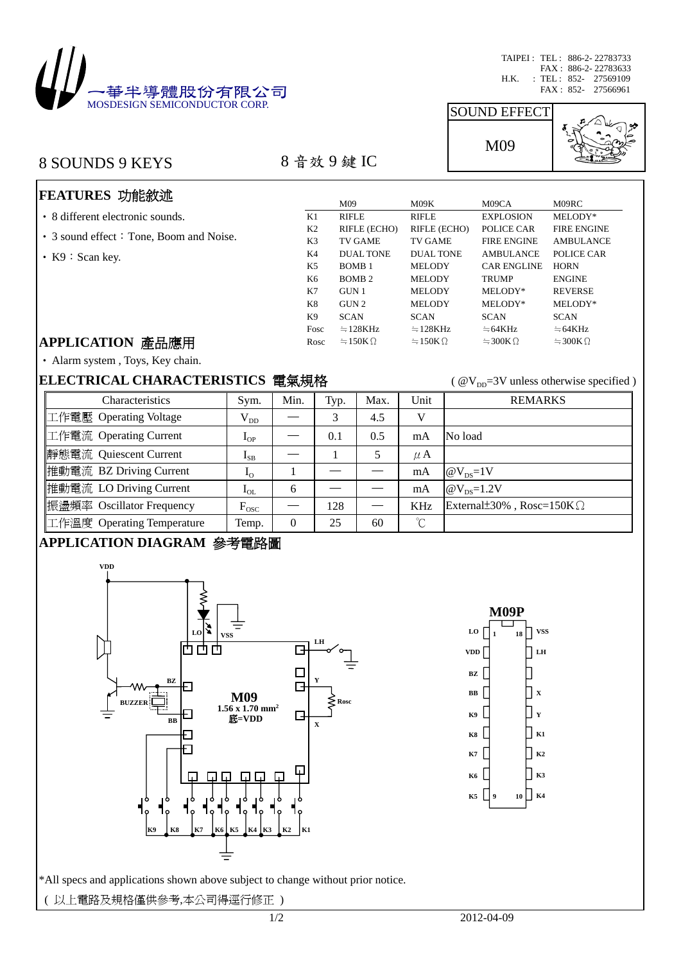

TAIPEI : TEL : 886-2- 22783733 FAX : 886-2- 22783633 H.K. : TEL : 852- 27569109

# 8 SOUNDS 9 KEYS 8 音效 9 鍵 IC

# M09

SOUND EFFECT



# **FEATURES** 功能敘述

- ‧ 8 different electronic sounds.
- 3 sound effect: Tone, Boom and Noise.
- K9: Scan key.

|                | M09               | M09K           | M09CA                   | M09RC                   |
|----------------|-------------------|----------------|-------------------------|-------------------------|
| K1             | <b>RIFLE</b>      | <b>RIFLE</b>   | <b>EXPLOSION</b>        | MELODY*                 |
| K <sub>2</sub> | RIFLE (ECHO)      | RIFLE (ECHO)   | POLICE CAR              | <b>FIRE ENGINE</b>      |
| K3             | <b>TV GAME</b>    | <b>TV GAME</b> | <b>FIRE ENGINE</b>      | <b>AMBULANCE</b>        |
| K4             | DUAL TONE         | DUAL TONE      | <b>AMBULANCE</b>        | POLICE CAR              |
| K5             | BOMB <sub>1</sub> | <b>MELODY</b>  | <b>CAR ENGLINE</b>      | <b>HORN</b>             |
| K6             | BOMB <sub>2</sub> | <b>MELODY</b>  | <b>TRUMP</b>            | <b>ENGINE</b>           |
| K7             | GUN 1             | <b>MELODY</b>  | MELODY*                 | <b>REVERSE</b>          |
| K8             | GUN 2             | <b>MELODY</b>  | MELODY*                 | MELODY*                 |
| K9             | <b>SCAN</b>       | <b>SCAN</b>    | <b>SCAN</b>             | <b>SCAN</b>             |
| Fosc           | $=128KHz$         | $=128KHz$      | $=64KHz$                | $= 64KHz$               |
| Rosc           | $=150K\Omega$     | $=150K\Omega$  | $\approx$ 300K $\Omega$ | $\approx$ 300K $\Omega$ |
|                |                   |                |                         |                         |

#### **APPLICATION** 產品應用

‧ Alarm system , Toys, Key chain.

#### **ELECTRICAL CHARACTERISTICS** 電氣規格 ( @V<sub>DD</sub>=3V unless otherwise specified )

| <b>Characteristics</b>     | Sym.                       | Min.     | Typ. | Max. | Unit        | <b>REMARKS</b>                    |
|----------------------------|----------------------------|----------|------|------|-------------|-----------------------------------|
| 工作電壓 Operating Voltage     | $V_{DD}$                   |          | 3    | 4.5  | V           |                                   |
| 工作電流 Operating Current     | $\mathbf{I}_{\mathrm{OP}}$ | __       | 0.1  | 0.5  | mA          | No load                           |
| 靜態電流 Quiescent Current     | $I_{SB}$                   |          |      | 5    | $\mu$ A     |                                   |
| 推動電流 BZ Driving Current    | $I_{\rm O}$                |          |      |      | mA          | $\omega_{\rm ps}$ =1V             |
| 推動電流 LO Driving Current    | $I_{OL}$                   | 6        |      |      | mA          | @ $V_{DS}$ =1.2V                  |
| 振盪頻率 Oscillator Frequency  | $F_{\rm osc}$              |          | 128  |      | <b>KHz</b>  | External ±30%, Rosc= $150K\Omega$ |
| 工作溫度 Operating Temperature | Temp.                      | $\theta$ | 25   | 60   | $^{\circ}C$ |                                   |

## **APPLICATION DIAGRAM** 參考電路圖





\*All specs and applications shown above subject to change without prior notice.

( 以上電路及規格僅供參考,本公司得逕行修正 )